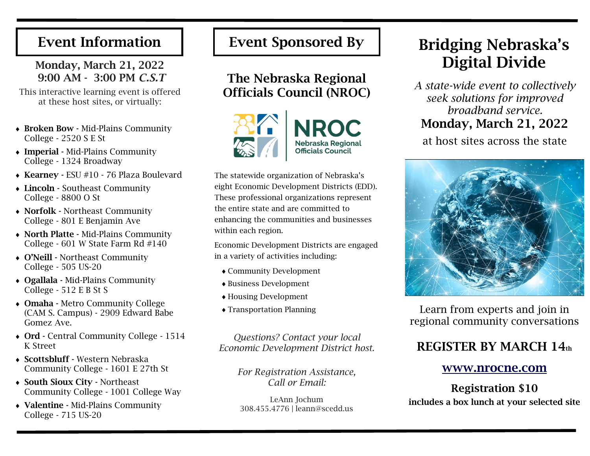# Event Information

### Monday, March 21, 2022 9:00 AM - 3:00 PM *C.S.T*

This interactive learning event is offered at these host sites, or virtually:

- Broken Bow Mid-Plains Community College - 2520 S E St
- Imperial Mid-Plains Community College - 1324 Broadway
- Kearney ESU #10 76 Plaza Boulevard
- Lincoln Southeast Community College - 8800 O St
- Norfolk Northeast Community College - 801 E Benjamin Ave
- North Platte Mid-Plains Community College - 601 W State Farm Rd #140
- O'Neill Northeast Community College - 505 US-20
- Ogallala Mid-Plains Community College - 512 E B St S
- Omaha Metro Community College (CAM S. Campus) - 2909 Edward Babe Gomez Ave.
- Ord Central Community College 1514 K Street
- Scottsbluff Western Nebraska Community College - 1601 E 27th St
- South Sioux City Northeast Community College - 1001 College Way
- Valentine Mid-Plains Community College - 715 US-20

# The Nebraska Regional Officials Council (NROC)



The statewide organization of Nebraska's eight Economic Development Districts (EDD). These professional organizations represent the entire state and are committed to enhancing the communities and businesses within each region.

Economic Development Districts are engaged in a variety of activities including:

- Community Development
- Business Development
- Housing Development
- Transportation Planning

*Questions? Contact your local Economic Development District host.*

> *For Registration Assistance, Call or Email:*

LeAnn Jochum 308.455.4776 | leann@scedd.us

# Event Sponsored By | Bridging Nebraska's Digital Divide

*A state-wide event to collectively seek solutions for improved broadband service.*  Monday, March 21, 2022

at host sites across the state



Learn from experts and join in regional community conversations

# REGISTER BY MARCH 14th

#### www.nrocne.com

Registration \$10 includes a box lunch at your selected site